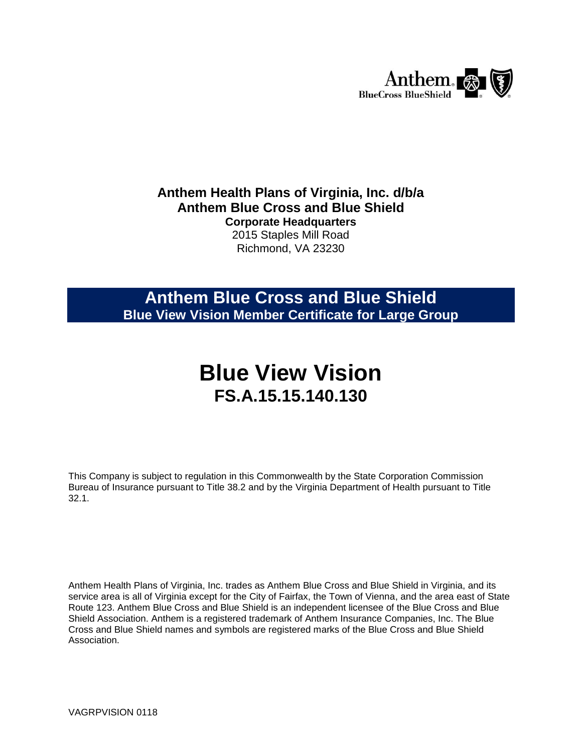

### **Anthem Health Plans of Virginia, Inc. d/b/a Anthem Blue Cross and Blue Shield Corporate Headquarters** 2015 Staples Mill Road

Richmond, VA 23230

# **Anthem Blue Cross and Blue Shield Blue View Vision Member Certificate for Large Group**

# **Blue View Vision FS.A.15.15.140.130**

This Company is subject to regulation in this Commonwealth by the State Corporation Commission Bureau of Insurance pursuant to Title 38.2 and by the Virginia Department of Health pursuant to Title 32.1.

Anthem Health Plans of Virginia, Inc. trades as Anthem Blue Cross and Blue Shield in Virginia, and its service area is all of Virginia except for the City of Fairfax, the Town of Vienna, and the area east of State Route 123. Anthem Blue Cross and Blue Shield is an independent licensee of the Blue Cross and Blue Shield Association. Anthem is a registered trademark of Anthem Insurance Companies, Inc. The Blue Cross and Blue Shield names and symbols are registered marks of the Blue Cross and Blue Shield Association.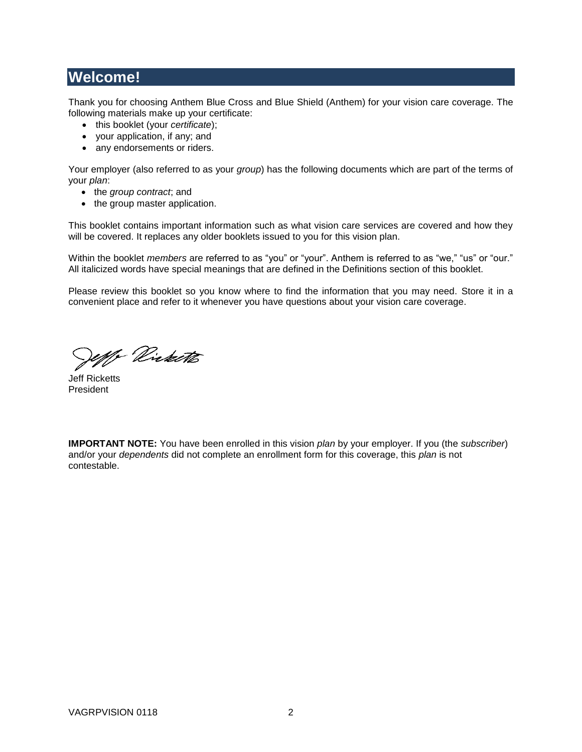# **Welcome!**

Thank you for choosing Anthem Blue Cross and Blue Shield (Anthem) for your vision care coverage. The following materials make up your certificate:

- this booklet (your *certificate*);
- your application, if any; and
- any endorsements or riders.

Your employer (also referred to as your *group*) has the following documents which are part of the terms of your *plan*:

- the *group contract*; and
- the group master application.

This booklet contains important information such as what vision care services are covered and how they will be covered. It replaces any older booklets issued to you for this vision plan.

Within the booklet *members* are referred to as "you" or "your". Anthem is referred to as "we," "us" or "our." All italicized words have special meanings that are defined in the Definitions section of this booklet.

Please review this booklet so you know where to find the information that you may need. Store it in a convenient place and refer to it whenever you have questions about your vision care coverage.

1) Virketts

Jeff Ricketts President

**IMPORTANT NOTE:** You have been enrolled in this vision *plan* by your employer. If you (the *subscriber*) and/or your *dependents* did not complete an enrollment form for this coverage, this *plan* is not contestable.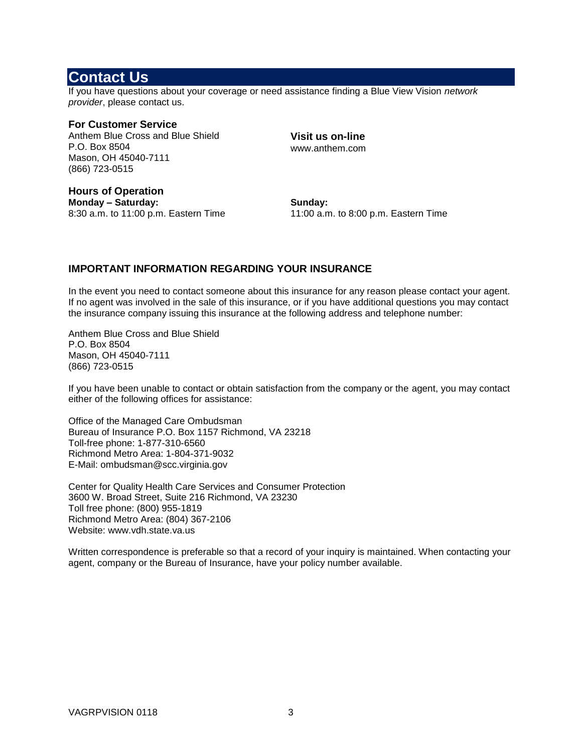### <span id="page-2-0"></span>**Contact Us**

If you have questions about your coverage or need assistance finding a Blue View Vision *network provider*, please contact us.

**For Customer Service** Anthem Blue Cross and Blue Shield P.O. Box 8504 Mason, OH 45040-7111 (866) 723-0515

**Visit us on-line** www.anthem.com

**Hours of Operation Monday – Saturday:** 8:30 a.m. to 11:00 p.m. Eastern Time

**Sunday:** 11:00 a.m. to 8:00 p.m. Eastern Time

### **IMPORTANT INFORMATION REGARDING YOUR INSURANCE**

In the event you need to contact someone about this insurance for any reason please contact your agent. If no agent was involved in the sale of this insurance, or if you have additional questions you may contact the insurance company issuing this insurance at the following address and telephone number:

Anthem Blue Cross and Blue Shield P.O. Box 8504 Mason, OH 45040-7111 (866) 723-0515

If you have been unable to contact or obtain satisfaction from the company or the agent, you may contact either of the following offices for assistance:

Office of the Managed Care Ombudsman Bureau of Insurance P.O. Box 1157 Richmond, VA 23218 Toll-free phone: 1-877-310-6560 Richmond Metro Area: 1-804-371-9032 E-Mail: ombudsman@scc.virginia.gov

Center for Quality Health Care Services and Consumer Protection 3600 W. Broad Street, Suite 216 Richmond, VA 23230 Toll free phone: (800) 955-1819 Richmond Metro Area: (804) 367-2106 Website: www.vdh.state.va.us

Written correspondence is preferable so that a record of your inquiry is maintained. When contacting your agent, company or the Bureau of Insurance, have your policy number available.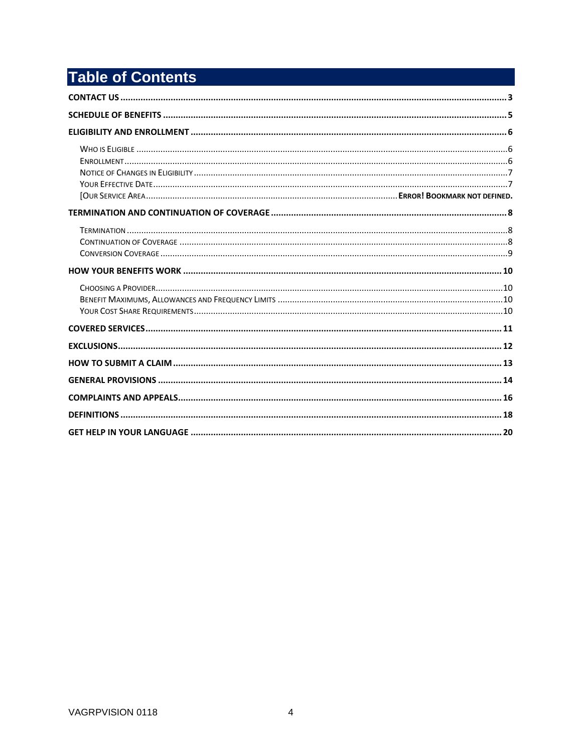# **Table of Contents**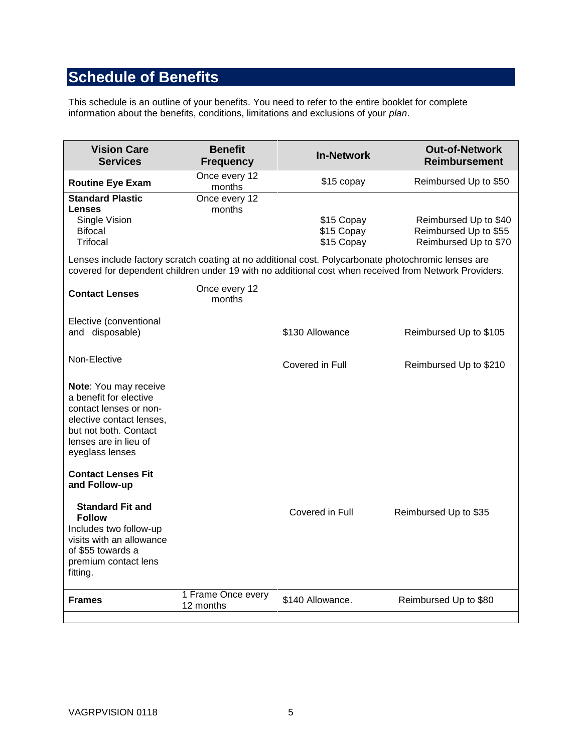# <span id="page-4-0"></span>**Schedule of Benefits**

This schedule is an outline of your benefits. You need to refer to the entire booklet for complete information about the benefits, conditions, limitations and exclusions of your *plan*.

| <b>Vision Care</b><br><b>Services</b>                                                                                                                                                                        | <b>Benefit</b><br><b>Frequency</b> | <b>In-Network</b>                      | <b>Out-of-Network</b><br><b>Reimbursement</b>                           |  |
|--------------------------------------------------------------------------------------------------------------------------------------------------------------------------------------------------------------|------------------------------------|----------------------------------------|-------------------------------------------------------------------------|--|
| <b>Routine Eye Exam</b>                                                                                                                                                                                      | Once every 12<br>months            | \$15 copay                             | Reimbursed Up to \$50                                                   |  |
| <b>Standard Plastic</b><br><b>Lenses</b><br>Single Vision<br><b>Bifocal</b><br>Trifocal                                                                                                                      | Once every 12<br>months            | \$15 Copay<br>\$15 Copay<br>\$15 Copay | Reimbursed Up to \$40<br>Reimbursed Up to \$55<br>Reimbursed Up to \$70 |  |
| Lenses include factory scratch coating at no additional cost. Polycarbonate photochromic lenses are<br>covered for dependent children under 19 with no additional cost when received from Network Providers. |                                    |                                        |                                                                         |  |
| <b>Contact Lenses</b>                                                                                                                                                                                        | Once every 12<br>months            |                                        |                                                                         |  |
| Elective (conventional<br>and disposable)                                                                                                                                                                    |                                    | \$130 Allowance                        | Reimbursed Up to \$105                                                  |  |
| Non-Elective                                                                                                                                                                                                 |                                    | Covered in Full                        | Reimbursed Up to \$210                                                  |  |
| Note: You may receive<br>a benefit for elective<br>contact lenses or non-<br>elective contact lenses,<br>but not both. Contact<br>lenses are in lieu of<br>eyeglass lenses                                   |                                    |                                        |                                                                         |  |
| <b>Contact Lenses Fit</b><br>and Follow-up                                                                                                                                                                   |                                    |                                        |                                                                         |  |
| <b>Standard Fit and</b><br><b>Follow</b><br>Includes two follow-up<br>visits with an allowance<br>of \$55 towards a<br>premium contact lens<br>fitting.                                                      |                                    | Covered in Full                        | Reimbursed Up to \$35                                                   |  |
| <b>Frames</b>                                                                                                                                                                                                | 1 Frame Once every<br>12 months    | \$140 Allowance.                       | Reimbursed Up to \$80                                                   |  |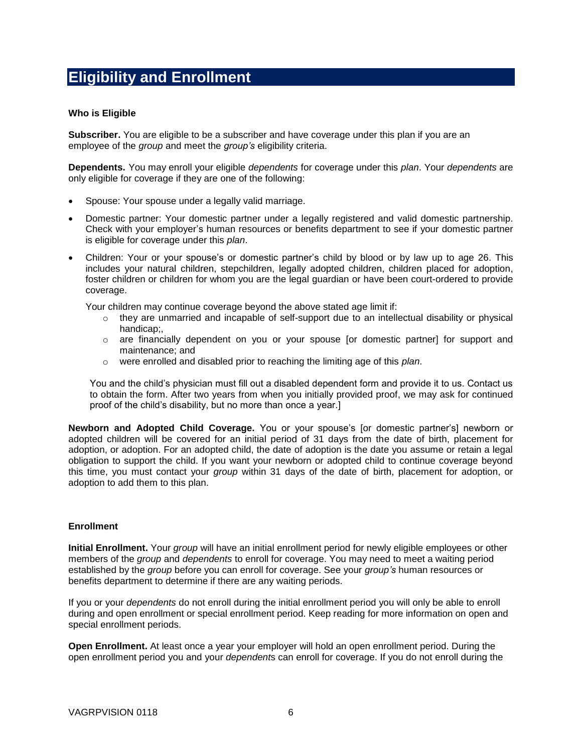# <span id="page-5-0"></span>**Eligibility and Enrollment**

### <span id="page-5-1"></span>**Who is Eligible**

**Subscriber.** You are eligible to be a subscriber and have coverage under this plan if you are an employee of the *group* and meet the *group's* eligibility criteria.

**Dependents.** You may enroll your eligible *dependents* for coverage under this *plan*. Your *dependents* are only eligible for coverage if they are one of the following:

- Spouse: Your spouse under a legally valid marriage.
- Domestic partner: Your domestic partner under a legally registered and valid domestic partnership. Check with your employer's human resources or benefits department to see if your domestic partner is eligible for coverage under this *plan*.
- Children: Your or your spouse's or domestic partner's child by blood or by law up to age 26. This includes your natural children, stepchildren, legally adopted children, children placed for adoption, foster children or children for whom you are the legal guardian or have been court-ordered to provide coverage.

Your children may continue coverage beyond the above stated age limit if:

- $\circ$  they are unmarried and incapable of self-support due to an intellectual disability or physical handicap;,
- o are financially dependent on you or your spouse [or domestic partner] for support and maintenance; and
- o were enrolled and disabled prior to reaching the limiting age of this *plan*.

You and the child's physician must fill out a disabled dependent form and provide it to us. Contact us to obtain the form. After two years from when you initially provided proof, we may ask for continued proof of the child's disability, but no more than once a year.]

**Newborn and Adopted Child Coverage.** You or your spouse's [or domestic partner's] newborn or adopted children will be covered for an initial period of 31 days from the date of birth, placement for adoption, or adoption. For an adopted child, the date of adoption is the date you assume or retain a legal obligation to support the child. If you want your newborn or adopted child to continue coverage beyond this time, you must contact your *group* within 31 days of the date of birth, placement for adoption, or adoption to add them to this plan.

### <span id="page-5-2"></span>**Enrollment**

**Initial Enrollment.** Your *group* will have an initial enrollment period for newly eligible employees or other members of the *group* and *dependents* to enroll for coverage. You may need to meet a waiting period established by the *group* before you can enroll for coverage. See your *group's* human resources or benefits department to determine if there are any waiting periods.

If you or your *dependents* do not enroll during the initial enrollment period you will only be able to enroll during and open enrollment or special enrollment period. Keep reading for more information on open and special enrollment periods.

**Open Enrollment.** At least once a year your employer will hold an open enrollment period. During the open enrollment period you and your *dependent*s can enroll for coverage. If you do not enroll during the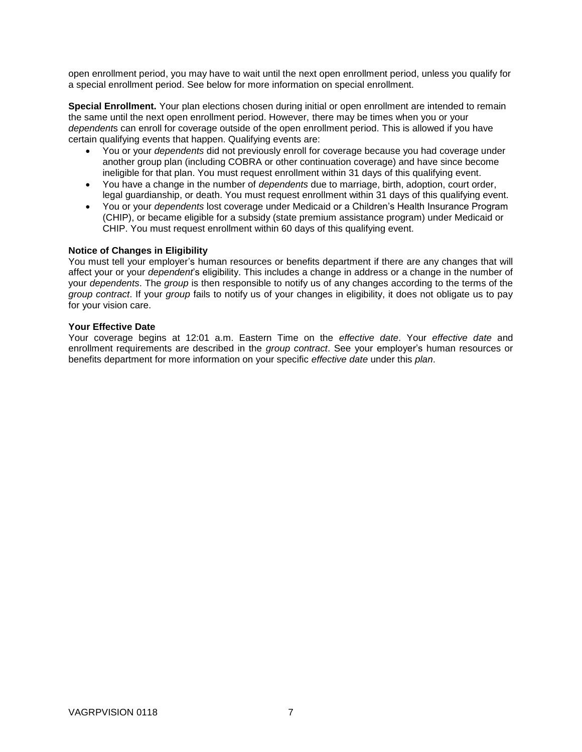open enrollment period, you may have to wait until the next open enrollment period, unless you qualify for a special enrollment period. See below for more information on special enrollment.

**Special Enrollment.** Your plan elections chosen during initial or open enrollment are intended to remain the same until the next open enrollment period. However, there may be times when you or your *dependent*s can enroll for coverage outside of the open enrollment period. This is allowed if you have certain qualifying events that happen. Qualifying events are:

- You or your *dependents* did not previously enroll for coverage because you had coverage under another group plan (including COBRA or other continuation coverage) and have since become ineligible for that plan. You must request enrollment within 31 days of this qualifying event.
- You have a change in the number of *dependents* due to marriage, birth, adoption, court order, legal guardianship, or death. You must request enrollment within 31 days of this qualifying event.
- You or your *dependents* lost coverage under Medicaid or a Children's Health Insurance Program (CHIP), or became eligible for a subsidy (state premium assistance program) under Medicaid or CHIP. You must request enrollment within 60 days of this qualifying event.

### <span id="page-6-0"></span>**Notice of Changes in Eligibility**

You must tell your employer's human resources or benefits department if there are any changes that will affect your or your *dependent*'s eligibility. This includes a change in address or a change in the number of your *dependents*. The *group* is then responsible to notify us of any changes according to the terms of the *group contract*. If your *group* fails to notify us of your changes in eligibility, it does not obligate us to pay for your vision care.

### <span id="page-6-1"></span>**Your Effective Date**

Your coverage begins at 12:01 a.m. Eastern Time on the *effective date*. Your *effective date* and enrollment requirements are described in the *group contract*. See your employer's human resources or benefits department for more information on your specific *effective date* under this *plan*.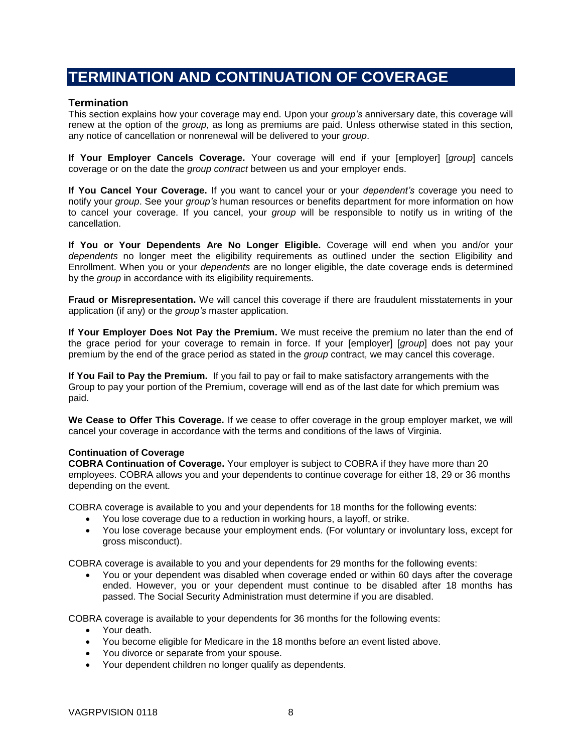# <span id="page-7-0"></span>**TERMINATION AND CONTINUATION OF COVERAGE**

### <span id="page-7-1"></span>**Termination**

This section explains how your coverage may end. Upon your *group's* anniversary date, this coverage will renew at the option of the *group*, as long as premiums are paid. Unless otherwise stated in this section, any notice of cancellation or nonrenewal will be delivered to your *group*.

**If Your Employer Cancels Coverage.** Your coverage will end if your [employer] [*group*] cancels coverage or on the date the *group contract* between us and your employer ends.

**If You Cancel Your Coverage.** If you want to cancel your or your *dependent's* coverage you need to notify your *group*. See your *group's* human resources or benefits department for more information on how to cancel your coverage. If you cancel, your *group* will be responsible to notify us in writing of the cancellation.

**If You or Your Dependents Are No Longer Eligible.** Coverage will end when you and/or your *dependents* no longer meet the eligibility requirements as outlined under the section Eligibility and Enrollment. When you or your *dependents* are no longer eligible, the date coverage ends is determined by the *group* in accordance with its eligibility requirements.

**Fraud or Misrepresentation.** We will cancel this coverage if there are fraudulent misstatements in your application (if any) or the *group's* master application.

**If Your Employer Does Not Pay the Premium.** We must receive the premium no later than the end of the grace period for your coverage to remain in force. If your [employer] [*group*] does not pay your premium by the end of the grace period as stated in the *group* contract, we may cancel this coverage.

**If You Fail to Pay the Premium.** If you fail to pay or fail to make satisfactory arrangements with the Group to pay your portion of the Premium, coverage will end as of the last date for which premium was paid.

**We Cease to Offer This Coverage.** If we cease to offer coverage in the group employer market, we will cancel your coverage in accordance with the terms and conditions of the laws of Virginia.

### <span id="page-7-2"></span>**Continuation of Coverage**

**COBRA Continuation of Coverage.** Your employer is subject to COBRA if they have more than 20 employees. COBRA allows you and your dependents to continue coverage for either 18, 29 or 36 months depending on the event.

COBRA coverage is available to you and your dependents for 18 months for the following events:

- You lose coverage due to a reduction in working hours, a layoff, or strike.
- You lose coverage because your employment ends. (For voluntary or involuntary loss, except for gross misconduct).

COBRA coverage is available to you and your dependents for 29 months for the following events:

 You or your dependent was disabled when coverage ended or within 60 days after the coverage ended. However, you or your dependent must continue to be disabled after 18 months has passed. The Social Security Administration must determine if you are disabled.

COBRA coverage is available to your dependents for 36 months for the following events:

- Your death.
- You become eligible for Medicare in the 18 months before an event listed above.
- You divorce or separate from your spouse.
- Your dependent children no longer qualify as dependents.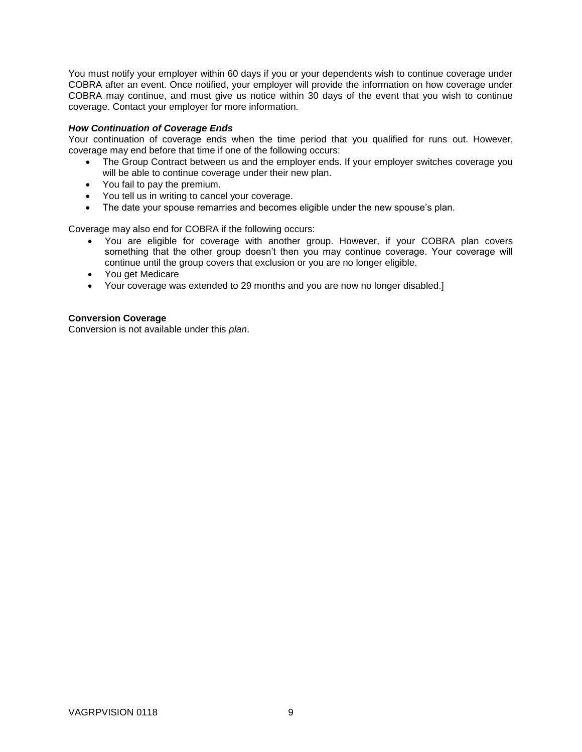You must notify your employer within 60 days if you or your dependents wish to continue coverage under COBRA after an event. Once notified, your employer will provide the information on how coverage under COBRA may continue, and must give us notice within 30 days of the event that you wish to continue coverage. Contact your employer for more information.

### *How Continuation of Coverage Ends*

Your continuation of coverage ends when the time period that you qualified for runs out. However, coverage may end before that time if one of the following occurs:

- The Group Contract between us and the employer ends. If your employer switches coverage you will be able to continue coverage under their new plan.
- You fail to pay the premium.
- You tell us in writing to cancel your coverage.
- The date your spouse remarries and becomes eligible under the new spouse's plan.

Coverage may also end for COBRA if the following occurs:

- You are eligible for coverage with another group. However, if your COBRA plan covers something that the other group doesn't then you may continue coverage. Your coverage will continue until the group covers that exclusion or you are no longer eligible.
- You get Medicare
- Your coverage was extended to 29 months and you are now no longer disabled.]

### <span id="page-8-0"></span>**Conversion Coverage**

Conversion is not available under this *plan*.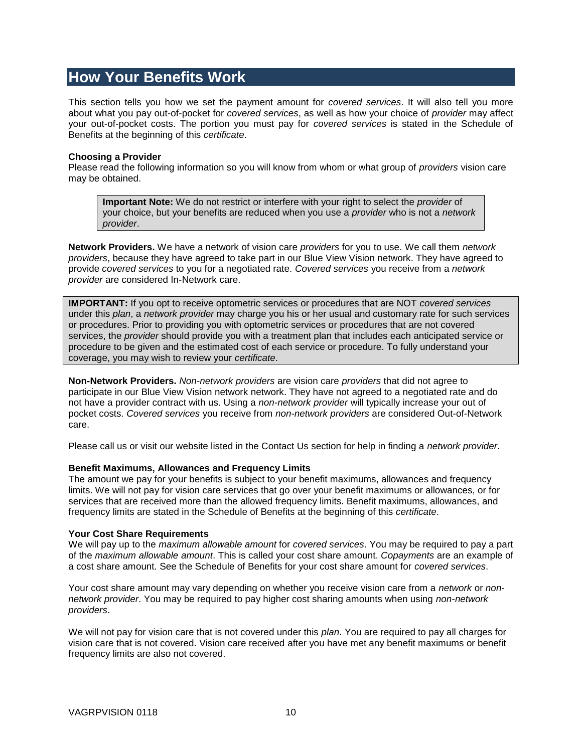## <span id="page-9-0"></span>**How Your Benefits Work**

This section tells you how we set the payment amount for *covered services*. It will also tell you more about what you pay out-of-pocket for *covered services*, as well as how your choice of *provider* may affect your out-of-pocket costs. The portion you must pay for *covered services* is stated in the Schedule of Benefits at the beginning of this *certificate*.

### <span id="page-9-1"></span>**Choosing a Provider**

Please read the following information so you will know from whom or what group of *providers* vision care may be obtained.

**Important Note:** We do not restrict or interfere with your right to select the *provider* of your choice, but your benefits are reduced when you use a *provider* who is not a *network provider*.

**Network Providers.** We have a network of vision care *providers* for you to use. We call them *network providers*, because they have agreed to take part in our Blue View Vision network. They have agreed to provide *covered services* to you for a negotiated rate. *Covered services* you receive from a *network provider* are considered In-Network care.

**IMPORTANT:** If you opt to receive optometric services or procedures that are NOT *covered services* under this *plan*, a *network provider* may charge you his or her usual and customary rate for such services or procedures. Prior to providing you with optometric services or procedures that are not covered services, the *provider* should provide you with a treatment plan that includes each anticipated service or procedure to be given and the estimated cost of each service or procedure. To fully understand your coverage, you may wish to review your *certificate*.

**Non-Network Providers.** *Non-network providers* are vision care *providers* that did not agree to participate in our Blue View Vision network network. They have not agreed to a negotiated rate and do not have a provider contract with us. Using a *non-network provider* will typically increase your out of pocket costs. *Covered services* you receive from *non-network providers* are considered Out-of-Network care.

Please call us or visit our website listed in the Contact Us section for help in finding a *network provider*.

### <span id="page-9-2"></span>**Benefit Maximums, Allowances and Frequency Limits**

The amount we pay for your benefits is subject to your benefit maximums, allowances and frequency limits. We will not pay for vision care services that go over your benefit maximums or allowances, or for services that are received more than the allowed frequency limits. Benefit maximums, allowances, and frequency limits are stated in the Schedule of Benefits at the beginning of this *certificate*.

#### <span id="page-9-3"></span>**Your Cost Share Requirements**

We will pay up to the *maximum allowable amount* for *covered services*. You may be required to pay a part of the *maximum allowable amount*. This is called your cost share amount. *Copayments* are an example of a cost share amount. See the Schedule of Benefits for your cost share amount for *covered services*.

Your cost share amount may vary depending on whether you receive vision care from a *network* or *nonnetwork provider*. You may be required to pay higher cost sharing amounts when using *non-network providers*.

We will not pay for vision care that is not covered under this *plan*. You are required to pay all charges for vision care that is not covered. Vision care received after you have met any benefit maximums or benefit frequency limits are also not covered.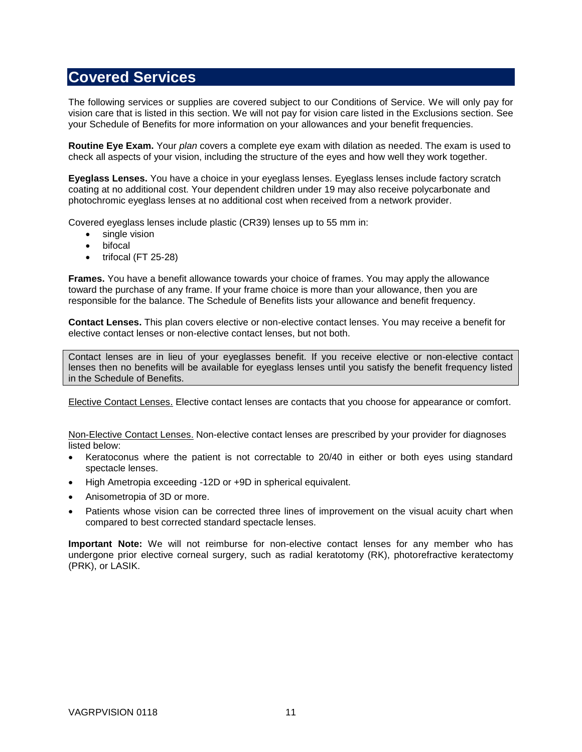# <span id="page-10-0"></span>**Covered Services**

The following services or supplies are covered subject to our Conditions of Service. We will only pay for vision care that is listed in this section. We will not pay for vision care listed in the Exclusions section. See your Schedule of Benefits for more information on your allowances and your benefit frequencies.

**Routine Eye Exam.** Your *plan* covers a complete eye exam with dilation as needed. The exam is used to check all aspects of your vision, including the structure of the eyes and how well they work together.

**Eyeglass Lenses.** You have a choice in your eyeglass lenses. Eyeglass lenses include factory scratch coating at no additional cost. Your dependent children under 19 may also receive polycarbonate and photochromic eyeglass lenses at no additional cost when received from a network provider.

Covered eyeglass lenses include plastic (CR39) lenses up to 55 mm in:

- single vision
- bifocal
- $\bullet$  trifocal (FT 25-28)

**Frames.** You have a benefit allowance towards your choice of frames. You may apply the allowance toward the purchase of any frame. If your frame choice is more than your allowance, then you are responsible for the balance. The Schedule of Benefits lists your allowance and benefit frequency.

**Contact Lenses.** This plan covers elective or non-elective contact lenses. You may receive a benefit for elective contact lenses or non-elective contact lenses, but not both.

Contact lenses are in lieu of your eyeglasses benefit. If you receive elective or non-elective contact lenses then no benefits will be available for eyeglass lenses until you satisfy the benefit frequency listed in the Schedule of Benefits.

Elective Contact Lenses. Elective contact lenses are contacts that you choose for appearance or comfort.

Non-Elective Contact Lenses. Non-elective contact lenses are prescribed by your provider for diagnoses listed below:

- Keratoconus where the patient is not correctable to 20/40 in either or both eyes using standard spectacle lenses.
- High Ametropia exceeding -12D or +9D in spherical equivalent.
- Anisometropia of 3D or more.
- Patients whose vision can be corrected three lines of improvement on the visual acuity chart when compared to best corrected standard spectacle lenses.

**Important Note:** We will not reimburse for non-elective contact lenses for any member who has undergone prior elective corneal surgery, such as radial keratotomy (RK), photorefractive keratectomy (PRK), or LASIK.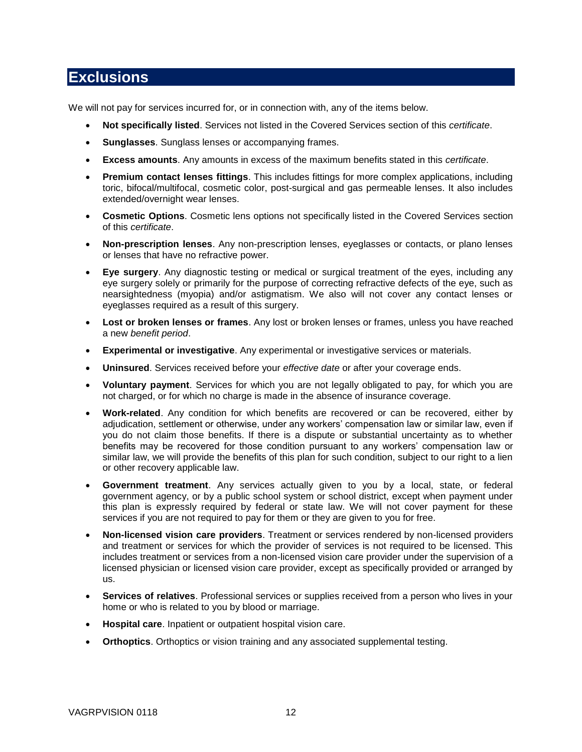### <span id="page-11-0"></span>**Exclusions**

We will not pay for services incurred for, or in connection with, any of the items below.

- **Not specifically listed**. Services not listed in the Covered Services section of this *certificate*.
- **Sunglasses**. Sunglass lenses or accompanying frames.
- **Excess amounts**. Any amounts in excess of the maximum benefits stated in this *certificate*.
- **Premium contact lenses fittings**. This includes fittings for more complex applications, including toric, bifocal/multifocal, cosmetic color, post-surgical and gas permeable lenses. It also includes extended/overnight wear lenses.
- **Cosmetic Options**. Cosmetic lens options not specifically listed in the Covered Services section of this *certificate*.
- **Non-prescription lenses**. Any non-prescription lenses, eyeglasses or contacts, or plano lenses or lenses that have no refractive power.
- **Eye surgery**. Any diagnostic testing or medical or surgical treatment of the eyes, including any eye surgery solely or primarily for the purpose of correcting refractive defects of the eye, such as nearsightedness (myopia) and/or astigmatism. We also will not cover any contact lenses or eyeglasses required as a result of this surgery.
- **Lost or broken lenses or frames**. Any lost or broken lenses or frames, unless you have reached a new *benefit period*.
- **Experimental or investigative**. Any experimental or investigative services or materials.
- **Uninsured**. Services received before your *effective date* or after your coverage ends.
- **Voluntary payment**. Services for which you are not legally obligated to pay, for which you are not charged, or for which no charge is made in the absence of insurance coverage.
- **Work-related**. Any condition for which benefits are recovered or can be recovered, either by adjudication, settlement or otherwise, under any workers' compensation law or similar law, even if you do not claim those benefits. If there is a dispute or substantial uncertainty as to whether benefits may be recovered for those condition pursuant to any workers' compensation law or similar law, we will provide the benefits of this plan for such condition, subject to our right to a lien or other recovery applicable law.
- **Government treatment**. Any services actually given to you by a local, state, or federal government agency, or by a public school system or school district, except when payment under this plan is expressly required by federal or state law. We will not cover payment for these services if you are not required to pay for them or they are given to you for free.
- **Non-licensed vision care providers**. Treatment or services rendered by non-licensed providers and treatment or services for which the provider of services is not required to be licensed. This includes treatment or services from a non-licensed vision care provider under the supervision of a licensed physician or licensed vision care provider, except as specifically provided or arranged by us.
- **Services of relatives**. Professional services or supplies received from a person who lives in your home or who is related to you by blood or marriage.
- **Hospital care**. Inpatient or outpatient hospital vision care.
- **Orthoptics**. Orthoptics or vision training and any associated supplemental testing.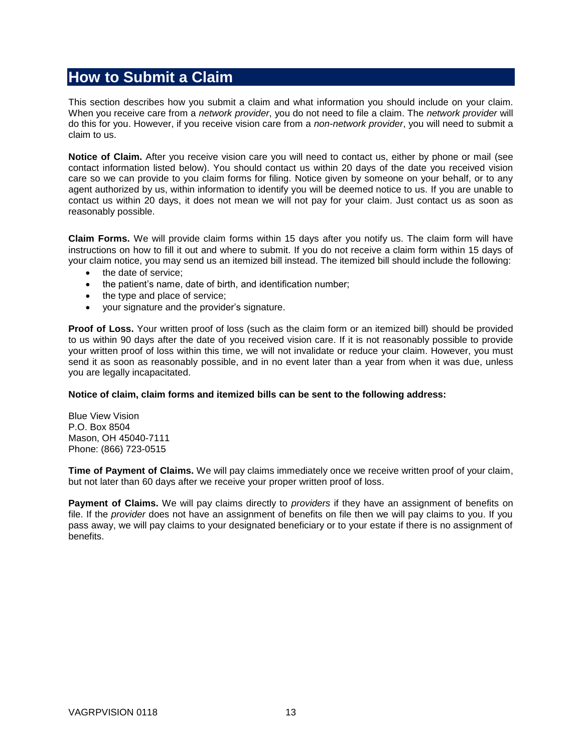## <span id="page-12-0"></span>**How to Submit a Claim**

This section describes how you submit a claim and what information you should include on your claim. When you receive care from a *network provider*, you do not need to file a claim. The *network provider* will do this for you. However, if you receive vision care from a *non-network provider*, you will need to submit a claim to us.

**Notice of Claim.** After you receive vision care you will need to contact us, either by phone or mail (see contact information listed below). You should contact us within 20 days of the date you received vision care so we can provide to you claim forms for filing. Notice given by someone on your behalf, or to any agent authorized by us, within information to identify you will be deemed notice to us. If you are unable to contact us within 20 days, it does not mean we will not pay for your claim. Just contact us as soon as reasonably possible.

**Claim Forms.** We will provide claim forms within 15 days after you notify us. The claim form will have instructions on how to fill it out and where to submit. If you do not receive a claim form within 15 days of your claim notice, you may send us an itemized bill instead. The itemized bill should include the following:

- the date of service;
- the patient's name, date of birth, and identification number;
- the type and place of service;
- your signature and the provider's signature.

**Proof of Loss.** Your written proof of loss (such as the claim form or an itemized bill) should be provided to us within 90 days after the date of you received vision care. If it is not reasonably possible to provide your written proof of loss within this time, we will not invalidate or reduce your claim. However, you must send it as soon as reasonably possible, and in no event later than a year from when it was due, unless you are legally incapacitated.

### **Notice of claim, claim forms and itemized bills can be sent to the following address:**

Blue View Vision P.O. Box 8504 Mason, OH 45040-7111 Phone: (866) 723-0515

**Time of Payment of Claims.** We will pay claims immediately once we receive written proof of your claim, but not later than 60 days after we receive your proper written proof of loss.

**Payment of Claims.** We will pay claims directly to *providers* if they have an assignment of benefits on file. If the *provider* does not have an assignment of benefits on file then we will pay claims to you. If you pass away, we will pay claims to your designated beneficiary or to your estate if there is no assignment of benefits.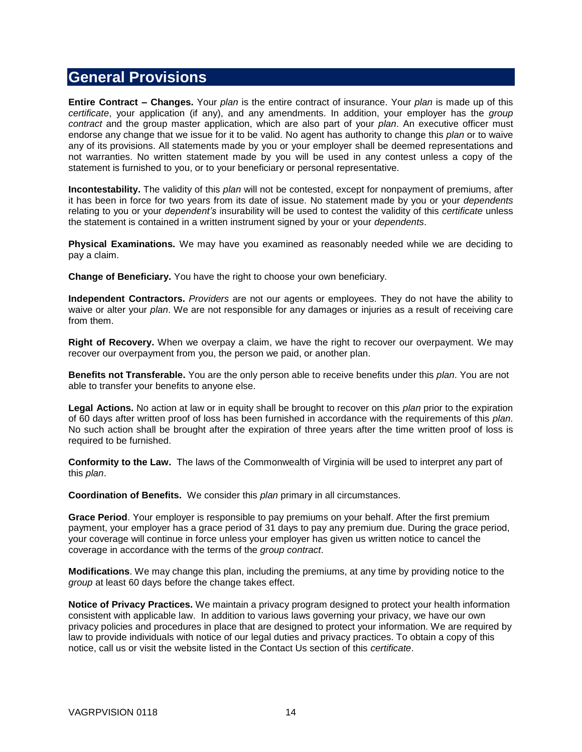### <span id="page-13-0"></span>**General Provisions**

**Entire Contract – Changes.** Your *plan* is the entire contract of insurance. Your *plan* is made up of this *certificate*, your application (if any), and any amendments. In addition, your employer has the *group contract* and the group master application, which are also part of your *plan*. An executive officer must endorse any change that we issue for it to be valid. No agent has authority to change this *plan* or to waive any of its provisions. All statements made by you or your employer shall be deemed representations and not warranties. No written statement made by you will be used in any contest unless a copy of the statement is furnished to you, or to your beneficiary or personal representative.

**Incontestability.** The validity of this *plan* will not be contested, except for nonpayment of premiums, after it has been in force for two years from its date of issue. No statement made by you or your *dependents* relating to you or your *dependent's* insurability will be used to contest the validity of this *certificate* unless the statement is contained in a written instrument signed by your or your *dependents*.

**Physical Examinations.** We may have you examined as reasonably needed while we are deciding to pay a claim.

**Change of Beneficiary.** You have the right to choose your own beneficiary.

**Independent Contractors.** *Providers* are not our agents or employees. They do not have the ability to waive or alter your *plan*. We are not responsible for any damages or injuries as a result of receiving care from them.

**Right of Recovery.** When we overpay a claim, we have the right to recover our overpayment. We may recover our overpayment from you, the person we paid, or another plan.

**Benefits not Transferable.** You are the only person able to receive benefits under this *plan*. You are not able to transfer your benefits to anyone else.

**Legal Actions.** No action at law or in equity shall be brought to recover on this *plan* prior to the expiration of 60 days after written proof of loss has been furnished in accordance with the requirements of this *plan*. No such action shall be brought after the expiration of three years after the time written proof of loss is required to be furnished.

**Conformity to the Law.** The laws of the Commonwealth of Virginia will be used to interpret any part of this *plan*.

**Coordination of Benefits.** We consider this *plan* primary in all circumstances.

**Grace Period**. Your employer is responsible to pay premiums on your behalf. After the first premium payment, your employer has a grace period of 31 days to pay any premium due. During the grace period, your coverage will continue in force unless your employer has given us written notice to cancel the coverage in accordance with the terms of the *group contract*.

**Modifications**. We may change this plan, including the premiums, at any time by providing notice to the *group* at least 60 days before the change takes effect.

**Notice of Privacy Practices.** We maintain a privacy program designed to protect your health information consistent with applicable law. In addition to various laws governing your privacy, we have our own privacy policies and procedures in place that are designed to protect your information. We are required by law to provide individuals with notice of our legal duties and privacy practices. To obtain a copy of this notice, call us or visit the website listed in the Contact Us section of this *certificate*.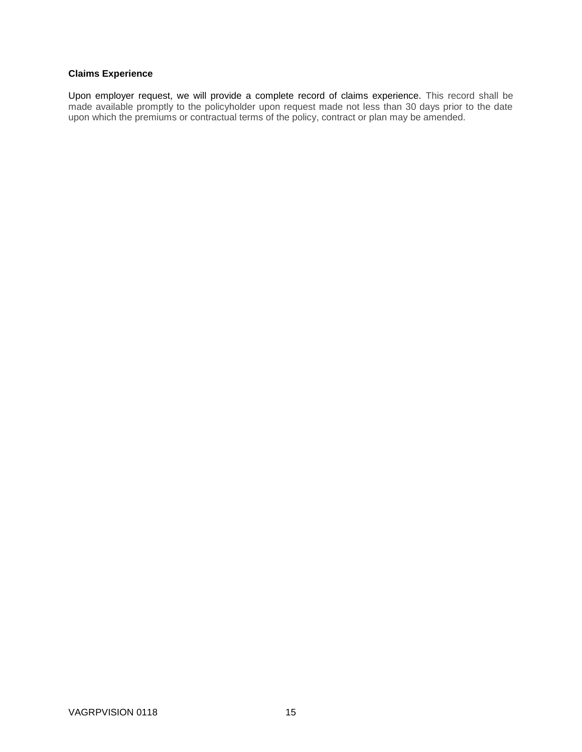### **Claims Experience**

Upon employer request, we will provide a complete record of claims experience. This record shall be made available promptly to the policyholder upon request made not less than 30 days prior to the date upon which the premiums or contractual terms of the policy, contract or plan may be amended.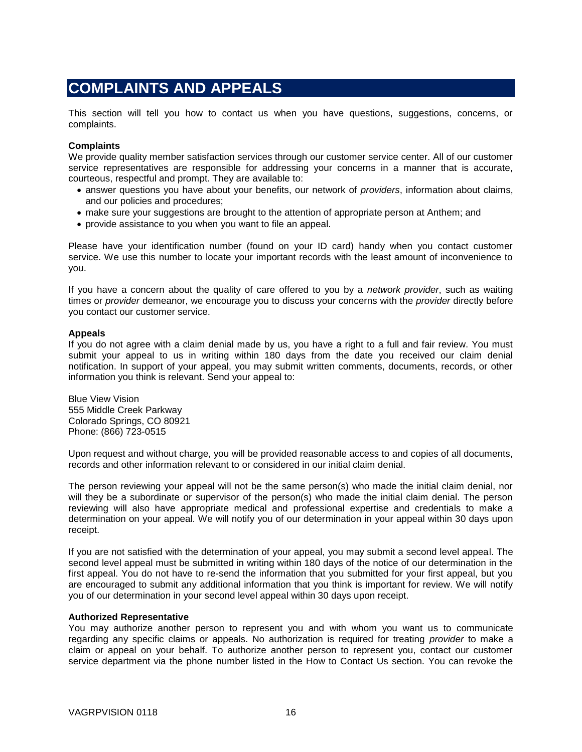# <span id="page-15-0"></span>**COMPLAINTS AND APPEALS**

This section will tell you how to contact us when you have questions, suggestions, concerns, or complaints.

#### **Complaints**

We provide quality member satisfaction services through our customer service center. All of our customer service representatives are responsible for addressing your concerns in a manner that is accurate, courteous, respectful and prompt. They are available to:

- answer questions you have about your benefits, our network of *providers*, information about claims, and our policies and procedures;
- make sure your suggestions are brought to the attention of appropriate person at Anthem; and
- provide assistance to you when you want to file an appeal.

Please have your identification number (found on your ID card) handy when you contact customer service. We use this number to locate your important records with the least amount of inconvenience to you.

If you have a concern about the quality of care offered to you by a *network provider*, such as waiting times or *provider* demeanor, we encourage you to discuss your concerns with the *provider* directly before you contact our customer service.

#### **Appeals**

If you do not agree with a claim denial made by us, you have a right to a full and fair review. You must submit your appeal to us in writing within 180 days from the date you received our claim denial notification. In support of your appeal, you may submit written comments, documents, records, or other information you think is relevant. Send your appeal to:

Blue View Vision 555 Middle Creek Parkway Colorado Springs, CO 80921 Phone: (866) 723-0515

Upon request and without charge, you will be provided reasonable access to and copies of all documents, records and other information relevant to or considered in our initial claim denial.

The person reviewing your appeal will not be the same person(s) who made the initial claim denial, nor will they be a subordinate or supervisor of the person(s) who made the initial claim denial. The person reviewing will also have appropriate medical and professional expertise and credentials to make a determination on your appeal. We will notify you of our determination in your appeal within 30 days upon receipt.

If you are not satisfied with the determination of your appeal, you may submit a second level appeal. The second level appeal must be submitted in writing within 180 days of the notice of our determination in the first appeal. You do not have to re-send the information that you submitted for your first appeal, but you are encouraged to submit any additional information that you think is important for review. We will notify you of our determination in your second level appeal within 30 days upon receipt.

### **Authorized Representative**

You may authorize another person to represent you and with whom you want us to communicate regarding any specific claims or appeals. No authorization is required for treating *provider* to make a claim or appeal on your behalf. To authorize another person to represent you, contact our customer service department via the phone number listed in the How to Contact Us section. You can revoke the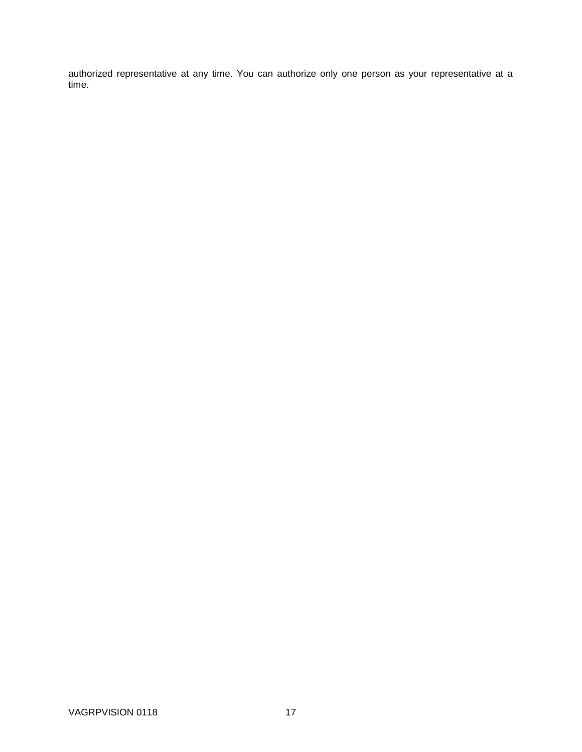authorized representative at any time. You can authorize only one person as your representative at a time.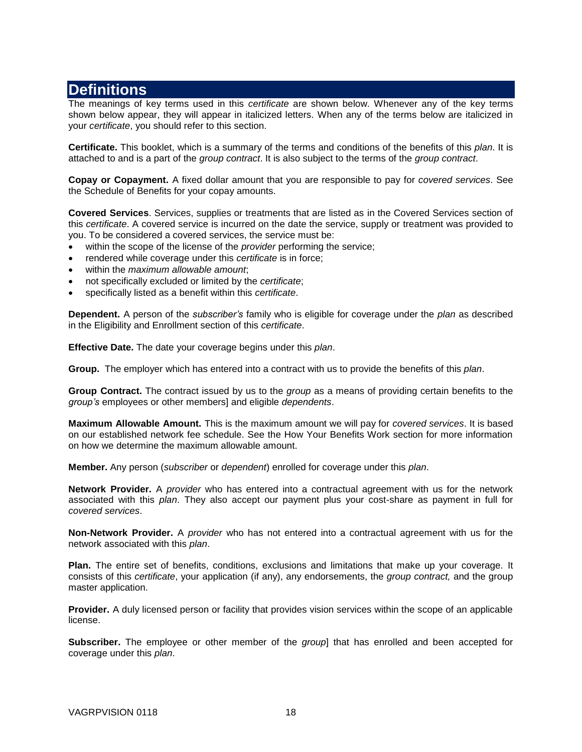## <span id="page-17-0"></span>**Definitions**

The meanings of key terms used in this *certificate* are shown below. Whenever any of the key terms shown below appear, they will appear in italicized letters. When any of the terms below are italicized in your *certificate*, you should refer to this section.

**Certificate.** This booklet, which is a summary of the terms and conditions of the benefits of this *plan*. It is attached to and is a part of the *group contract*. It is also subject to the terms of the *group contract*.

**Copay or Copayment.** A fixed dollar amount that you are responsible to pay for *covered services*. See the Schedule of Benefits for your copay amounts.

**Covered Services**. Services, supplies or treatments that are listed as in the Covered Services section of this *certificate*. A covered service is incurred on the date the service, supply or treatment was provided to you. To be considered a covered services, the service must be:

- within the scope of the license of the *provider* performing the service;
- rendered while coverage under this *certificate* is in force;
- within the *maximum allowable amount*;
- not specifically excluded or limited by the *certificate*;
- specifically listed as a benefit within this *certificate*.

**Dependent.** A person of the *subscriber's* family who is eligible for coverage under the *plan* as described in the Eligibility and Enrollment section of this *certificate*.

**Effective Date.** The date your coverage begins under this *plan*.

**Group.** The employer which has entered into a contract with us to provide the benefits of this *plan*.

**Group Contract.** The contract issued by us to the *group* as a means of providing certain benefits to the *group's* employees or other members] and eligible *dependents*.

**Maximum Allowable Amount.** This is the maximum amount we will pay for *covered services*. It is based on our established network fee schedule. See the How Your Benefits Work section for more information on how we determine the maximum allowable amount.

**Member.** Any person (*subscriber* or *dependent*) enrolled for coverage under this *plan*.

**Network Provider.** A *provider* who has entered into a contractual agreement with us for the network associated with this *plan*. They also accept our payment plus your cost-share as payment in full for *covered services*.

**Non-Network Provider.** A *provider* who has not entered into a contractual agreement with us for the network associated with this *plan*.

**Plan.** The entire set of benefits, conditions, exclusions and limitations that make up your coverage. It consists of this *certificate*, your application (if any), any endorsements, the *group contract,* and the group master application.

**Provider.** A duly licensed person or facility that provides vision services within the scope of an applicable license.

**Subscriber.** The employee or other member of the *group*] that has enrolled and been accepted for coverage under this *plan*.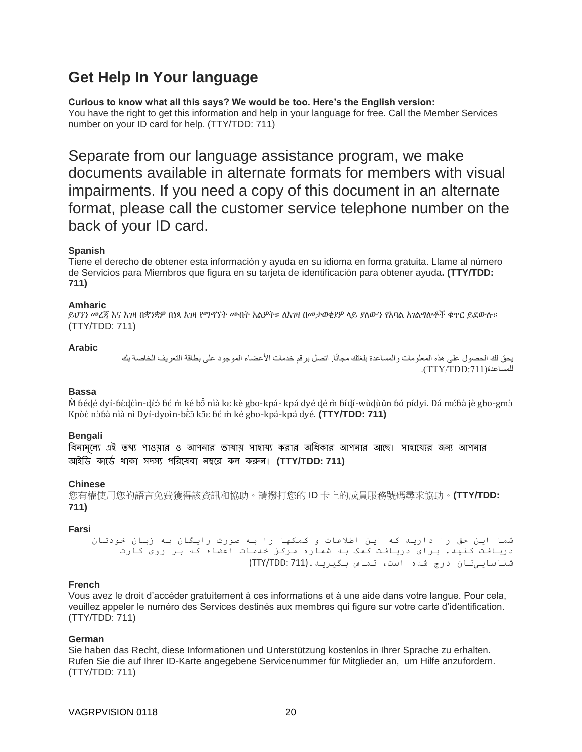# <span id="page-19-0"></span>**Get Help In Your language**

**Curious to know what all this says? We would be too. Here's the English version:** You have the right to get this information and help in your language for free. Call the Member Services number on your ID card for help. (TTY/TDD: 711)

Separate from our language assistance program, we make documents available in alternate formats for members with visual impairments. If you need a copy of this document in an alternate format, please call the customer service telephone number on the back of your ID card.

### **Spanish**

Tiene el derecho de obtener esta información y ayuda en su idioma en forma gratuita. Llame al número de Servicios para Miembros que figura en su tarjeta de identificación para obtener ayuda**. (TTY/TDD: 711)**

### **Amharic**

ይህንን መረጃ እና እገዛ በቋንቋዎ በነጻ እገዛ የማግኘት መብት አልዎት። ለእገዛ በመታወቂያዎ ላይ ያለውን የአባል አገልግሎቶች ቁጥር ይደውሉ። (TTY/TDD: 711)

### **Arabic**

يحق لك الحصول على هذه المعلومات والمساعدة بلغتك مجانًا. اتصل برقم خدمات األعضاء الموجود على بطاقة التعريف الخاصة بك .)DD7:DTT/YTT(للمساعدة

### **Bassa**

M̀ ɓédé dyí-ɓèdɛ̀ìn-dɛ̀ɔ̀ ɓɛ́ m̀ ké bɔ̃ nìà kɛ kè gbo-kpá- kpá dyé dé m̀ ɓíd̩í-wùd̥ùǔn ɓó pídyi. Đá mɛ́ɓà jè gbo-gmɔ̀ Kpòè nòɓà nìà nì Dyí-dyoìn-bề5 kõɛ ɓé m̀ ké gbo-kpá-kpá dyé. **(TTY/TDD: 711)** 

### **Bengali**

বিনামল্যে এই তথ্য পাওয়ার ও আপনার ভাষায় সাহায্য করার অধিকার আপনার আছে। সাহায্যের জন্য আপনার আইডি কায্িে থাকা সদসে পডরয্েবা ন্ম্বয্র কল করুন্। **(TTY/TDD: 711)**

### **Chinese**

您有權使用您的語言免費獲得該資訊和協助。請撥打您的 ID 卡上的成員服務號碼尋求協助。**(TTY/TDD: 711)**

### **Farsi**

شما این حق را دارید که این اطالعات و کمکها را به صورت رایگان به زبان خودتان دریافت کنید. برای دریافت کمک به شماره مرکز خدمات اعضاء که بر روی کارت شناساییتان درج شده است، تماس بگیرید.(711 :TDD/TTY(

### **French**

Vous avez le droit d'accéder gratuitement à ces informations et à une aide dans votre langue. Pour cela, veuillez appeler le numéro des Services destinés aux membres qui figure sur votre carte d'identification. (TTY/TDD: 711)

### **German**

Sie haben das Recht, diese Informationen und Unterstützung kostenlos in Ihrer Sprache zu erhalten. Rufen Sie die auf Ihrer ID-Karte angegebene Servicenummer für Mitglieder an, um Hilfe anzufordern. (TTY/TDD: 711)